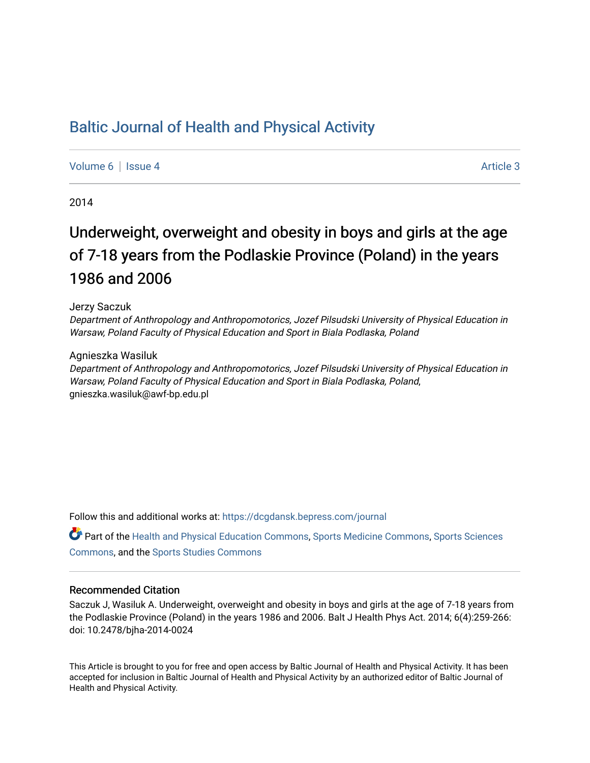# [Baltic Journal of Health and Physical Activity](https://dcgdansk.bepress.com/journal)

[Volume 6](https://dcgdansk.bepress.com/journal/vol6) | [Issue 4](https://dcgdansk.bepress.com/journal/vol6/iss4) Article 3

2014

# Underweight, overweight and obesity in boys and girls at the age of 7-18 years from the Podlaskie Province (Poland) in the years 1986 and 2006

#### Jerzy Saczuk

Department of Anthropology and Anthropomotorics, Jozef Pilsudski University of Physical Education in Warsaw, Poland Faculty of Physical Education and Sport in Biala Podlaska, Poland

#### Agnieszka Wasiluk

Department of Anthropology and Anthropomotorics, Jozef Pilsudski University of Physical Education in Warsaw, Poland Faculty of Physical Education and Sport in Biala Podlaska, Poland, gnieszka.wasiluk@awf-bp.edu.pl

Follow this and additional works at: [https://dcgdansk.bepress.com/journal](https://dcgdansk.bepress.com/journal?utm_source=dcgdansk.bepress.com%2Fjournal%2Fvol6%2Fiss4%2F3&utm_medium=PDF&utm_campaign=PDFCoverPages)

Part of the [Health and Physical Education Commons](http://network.bepress.com/hgg/discipline/1327?utm_source=dcgdansk.bepress.com%2Fjournal%2Fvol6%2Fiss4%2F3&utm_medium=PDF&utm_campaign=PDFCoverPages), [Sports Medicine Commons,](http://network.bepress.com/hgg/discipline/1331?utm_source=dcgdansk.bepress.com%2Fjournal%2Fvol6%2Fiss4%2F3&utm_medium=PDF&utm_campaign=PDFCoverPages) [Sports Sciences](http://network.bepress.com/hgg/discipline/759?utm_source=dcgdansk.bepress.com%2Fjournal%2Fvol6%2Fiss4%2F3&utm_medium=PDF&utm_campaign=PDFCoverPages) [Commons](http://network.bepress.com/hgg/discipline/759?utm_source=dcgdansk.bepress.com%2Fjournal%2Fvol6%2Fiss4%2F3&utm_medium=PDF&utm_campaign=PDFCoverPages), and the [Sports Studies Commons](http://network.bepress.com/hgg/discipline/1198?utm_source=dcgdansk.bepress.com%2Fjournal%2Fvol6%2Fiss4%2F3&utm_medium=PDF&utm_campaign=PDFCoverPages) 

#### Recommended Citation

Saczuk J, Wasiluk A. Underweight, overweight and obesity in boys and girls at the age of 7-18 years from the Podlaskie Province (Poland) in the years 1986 and 2006. Balt J Health Phys Act. 2014; 6(4):259-266: doi: 10.2478/bjha-2014-0024

This Article is brought to you for free and open access by Baltic Journal of Health and Physical Activity. It has been accepted for inclusion in Baltic Journal of Health and Physical Activity by an authorized editor of Baltic Journal of Health and Physical Activity.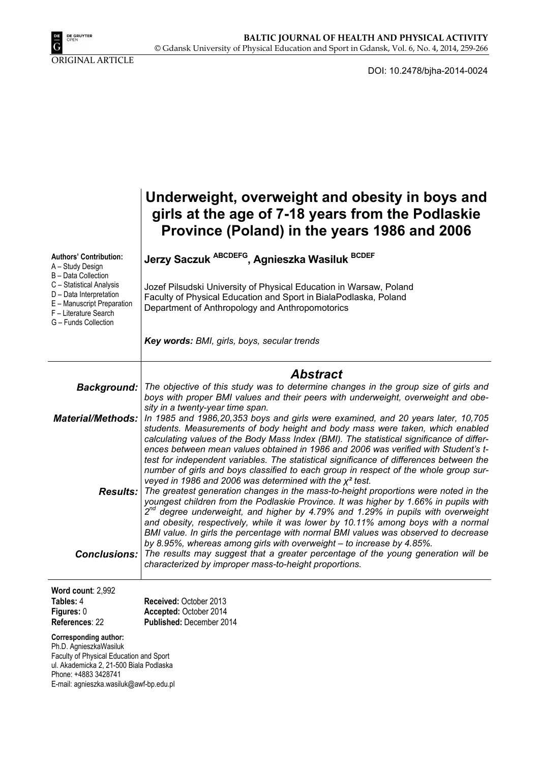

ORIGINAL ARTICLE

DOI: 10.2478/bjha-2014-0024

|                                                                                                                                    | Underweight, overweight and obesity in boys and<br>girls at the age of 7-18 years from the Podlaskie<br>Province (Poland) in the years 1986 and 2006                                                                                                                                                                                                                                                                                                                                                                                                                                                                        |
|------------------------------------------------------------------------------------------------------------------------------------|-----------------------------------------------------------------------------------------------------------------------------------------------------------------------------------------------------------------------------------------------------------------------------------------------------------------------------------------------------------------------------------------------------------------------------------------------------------------------------------------------------------------------------------------------------------------------------------------------------------------------------|
| <b>Authors' Contribution:</b><br>A - Study Design<br>B - Data Collection                                                           | Jerzy Saczuk ABCDEFG, Agnieszka Wasiluk BCDEF                                                                                                                                                                                                                                                                                                                                                                                                                                                                                                                                                                               |
| C - Statistical Analysis<br>D - Data Interpretation<br>E - Manuscript Preparation<br>F - Literature Search<br>G - Funds Collection | Jozef Pilsudski University of Physical Education in Warsaw, Poland<br>Faculty of Physical Education and Sport in BialaPodlaska, Poland<br>Department of Anthropology and Anthropomotorics                                                                                                                                                                                                                                                                                                                                                                                                                                   |
|                                                                                                                                    | Key words: BMI, girls, boys, secular trends                                                                                                                                                                                                                                                                                                                                                                                                                                                                                                                                                                                 |
|                                                                                                                                    | <b>Abstract</b>                                                                                                                                                                                                                                                                                                                                                                                                                                                                                                                                                                                                             |
| Background:                                                                                                                        | The objective of this study was to determine changes in the group size of girls and<br>boys with proper BMI values and their peers with underweight, overweight and obe-                                                                                                                                                                                                                                                                                                                                                                                                                                                    |
| <b>Material/Methods:</b>                                                                                                           | sity in a twenty-year time span.<br>In 1985 and 1986, 20, 353 boys and girls were examined, and 20 years later, 10, 705<br>students. Measurements of body height and body mass were taken, which enabled<br>calculating values of the Body Mass Index (BMI). The statistical significance of differ-<br>ences between mean values obtained in 1986 and 2006 was verified with Student's t-                                                                                                                                                                                                                                  |
|                                                                                                                                    | test for independent variables. The statistical significance of differences between the<br>number of girls and boys classified to each group in respect of the whole group sur-<br>veyed in 1986 and 2006 was determined with the $\chi^2$ test.<br><b>Results:</b> The greatest generation changes in the mass-to-height proportions were noted in the<br>youngest children from the Podlaskie Province. It was higher by 1.66% in pupils with<br>$2^{nd}$ degree underweight, and higher by 4.79% and 1.29% in pupils with overweight<br>and obesity, respectively, while it was lower by 10.11% among boys with a normal |
|                                                                                                                                    | BMI value. In girls the percentage with normal BMI values was observed to decrease<br>by 8.95%, whereas among girls with overweight - to increase by 4.85%.<br><b>Conclusions:</b> The results may suggest that a greater percentage of the young generation will be<br>characterized by improper mass-to-height proportions.                                                                                                                                                                                                                                                                                               |
| Word count: 2,992                                                                                                                  |                                                                                                                                                                                                                                                                                                                                                                                                                                                                                                                                                                                                                             |
| Tables: 4                                                                                                                          | Received: October 2013                                                                                                                                                                                                                                                                                                                                                                                                                                                                                                                                                                                                      |
| Figures: 0<br>References: 22                                                                                                       | Accepted: October 2014<br>Published: December 2014                                                                                                                                                                                                                                                                                                                                                                                                                                                                                                                                                                          |

**Corresponding author:** 

Ph.D. AgnieszkaWasiluk Faculty of Physical Education and Sport ul. Akademicka 2, 21-500 Biala Podlaska Phone: +4883 3428741 E-mail: agnieszka.wasiluk@awf-bp.edu.pl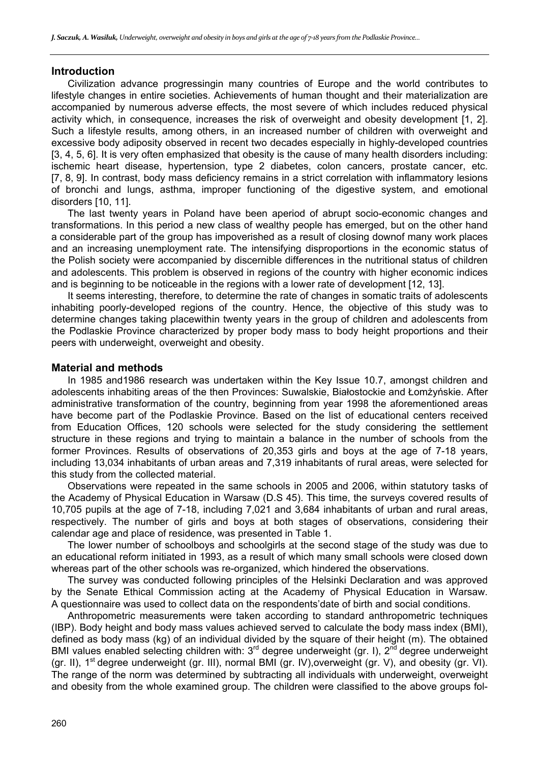#### **Introduction**

Civilization advance progressingin many countries of Europe and the world contributes to lifestyle changes in entire societies. Achievements of human thought and their materialization are accompanied by numerous adverse effects, the most severe of which includes reduced physical activity which, in consequence, increases the risk of overweight and obesity development [1, 2]. Such a lifestyle results, among others, in an increased number of children with overweight and excessive body adiposity observed in recent two decades especially in highly-developed countries [3, 4, 5, 6]. It is very often emphasized that obesity is the cause of many health disorders including: ischemic heart disease, hypertension, type 2 diabetes, colon cancers, prostate cancer, etc. [7, 8, 9]. In contrast, body mass deficiency remains in a strict correlation with inflammatory lesions of bronchi and lungs, asthma, improper functioning of the digestive system, and emotional disorders [10, 11].

The last twenty years in Poland have been aperiod of abrupt socio-economic changes and transformations. In this period a new class of wealthy people has emerged, but on the other hand a considerable part of the group has impoverished as a result of closing downof many work places and an increasing unemployment rate. The intensifying disproportions in the economic status of the Polish society were accompanied by discernible differences in the nutritional status of children and adolescents. This problem is observed in regions of the country with higher economic indices and is beginning to be noticeable in the regions with a lower rate of development [12, 13].

It seems interesting, therefore, to determine the rate of changes in somatic traits of adolescents inhabiting poorly-developed regions of the country. Hence, the objective of this study was to determine changes taking placewithin twenty years in the group of children and adolescents from the Podlaskie Province characterized by proper body mass to body height proportions and their peers with underweight, overweight and obesity.

#### **Material and methods**

In 1985 and1986 research was undertaken within the Key Issue 10.7, amongst children and adolescents inhabiting areas of the then Provinces: Suwalskie, Białostockie and Łomżyńskie. After administrative transformation of the country, beginning from year 1998 the aforementioned areas have become part of the Podlaskie Province. Based on the list of educational centers received from Education Offices, 120 schools were selected for the study considering the settlement structure in these regions and trying to maintain a balance in the number of schools from the former Provinces. Results of observations of 20,353 girls and boys at the age of 7-18 years, including 13,034 inhabitants of urban areas and 7,319 inhabitants of rural areas, were selected for this study from the collected material.

Observations were repeated in the same schools in 2005 and 2006, within statutory tasks of the Academy of Physical Education in Warsaw (D.S 45). This time, the surveys covered results of 10,705 pupils at the age of 7-18, including 7,021 and 3,684 inhabitants of urban and rural areas, respectively. The number of girls and boys at both stages of observations, considering their calendar age and place of residence, was presented in Table 1.

The lower number of schoolboys and schoolgirls at the second stage of the study was due to an educational reform initiated in 1993, as a result of which many small schools were closed down whereas part of the other schools was re-organized, which hindered the observations.

The survey was conducted following principles of the Helsinki Declaration and was approved by the Senate Ethical Commission acting at the Academy of Physical Education in Warsaw. A questionnaire was used to collect data on the respondents'date of birth and social conditions.

Anthropometric measurements were taken according to standard anthropometric techniques (IBP). Body height and body mass values achieved served to calculate the body mass index (BMI), defined as body mass (kg) of an individual divided by the square of their height (m). The obtained BMI values enabled selecting children with:  $3<sup>rd</sup>$  degree underweight (gr. I),  $2<sup>nd</sup>$  degree underweight (gr. II), 1<sup>st</sup> degree underweight (gr. III), normal BMI (gr. IV), overweight (gr. V), and obesity (gr. VI). The range of the norm was determined by subtracting all individuals with underweight, overweight and obesity from the whole examined group. The children were classified to the above groups fol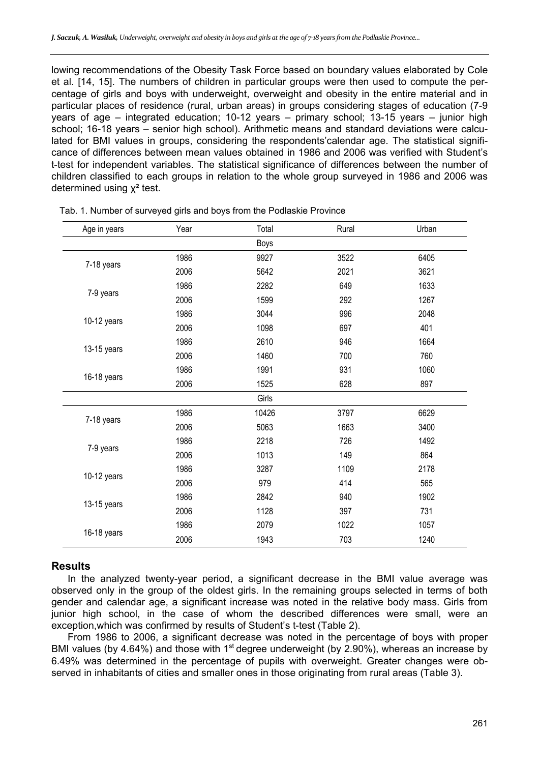lowing recommendations of the Obesity Task Force based on boundary values elaborated by Cole et al. [14, 15]. The numbers of children in particular groups were then used to compute the percentage of girls and boys with underweight, overweight and obesity in the entire material and in particular places of residence (rural, urban areas) in groups considering stages of education (7-9 years of age – integrated education; 10-12 years – primary school; 13-15 years – junior high school; 16-18 years – senior high school). Arithmetic means and standard deviations were calculated for BMI values in groups, considering the respondents'calendar age. The statistical significance of differences between mean values obtained in 1986 and 2006 was verified with Student's t-test for independent variables. The statistical significance of differences between the number of children classified to each groups in relation to the whole group surveyed in 1986 and 2006 was determined using  $χ²$  test.

| Age in years | Year | Total       | Rural | Urban |
|--------------|------|-------------|-------|-------|
|              |      | <b>Boys</b> |       |       |
|              | 1986 | 9927        | 3522  | 6405  |
| 7-18 years   | 2006 | 5642        | 2021  | 3621  |
|              | 1986 | 2282        | 649   | 1633  |
| 7-9 years    | 2006 | 1599        | 292   | 1267  |
|              | 1986 | 3044        | 996   | 2048  |
| 10-12 years  | 2006 | 1098        | 697   | 401   |
|              | 1986 | 2610        | 946   | 1664  |
| 13-15 years  | 2006 | 1460        | 700   | 760   |
|              | 1986 | 1991        | 931   | 1060  |
| 16-18 years  | 2006 | 1525        | 628   | 897   |
|              |      | Girls       |       |       |
|              | 1986 | 10426       | 3797  | 6629  |
| 7-18 years   | 2006 | 5063        | 1663  | 3400  |
|              | 1986 | 2218        | 726   | 1492  |
| 7-9 years    | 2006 | 1013        | 149   | 864   |
|              | 1986 | 3287        | 1109  | 2178  |
| 10-12 years  | 2006 | 979         | 414   | 565   |
|              | 1986 | 2842        | 940   | 1902  |
| 13-15 years  | 2006 | 1128        | 397   | 731   |
|              | 1986 | 2079        | 1022  | 1057  |
| 16-18 years  | 2006 | 1943        | 703   | 1240  |

Tab. 1. Number of surveyed girls and boys from the Podlaskie Province

#### **Results**

In the analyzed twenty-year period, a significant decrease in the BMI value average was observed only in the group of the oldest girls. In the remaining groups selected in terms of both gender and calendar age, a significant increase was noted in the relative body mass. Girls from junior high school, in the case of whom the described differences were small, were an exception,which was confirmed by results of Student's t-test (Table 2).

From 1986 to 2006, a significant decrease was noted in the percentage of boys with proper BMI values (by 4.64%) and those with 1<sup>st</sup> degree underweight (by 2.90%), whereas an increase by 6.49% was determined in the percentage of pupils with overweight. Greater changes were observed in inhabitants of cities and smaller ones in those originating from rural areas (Table 3).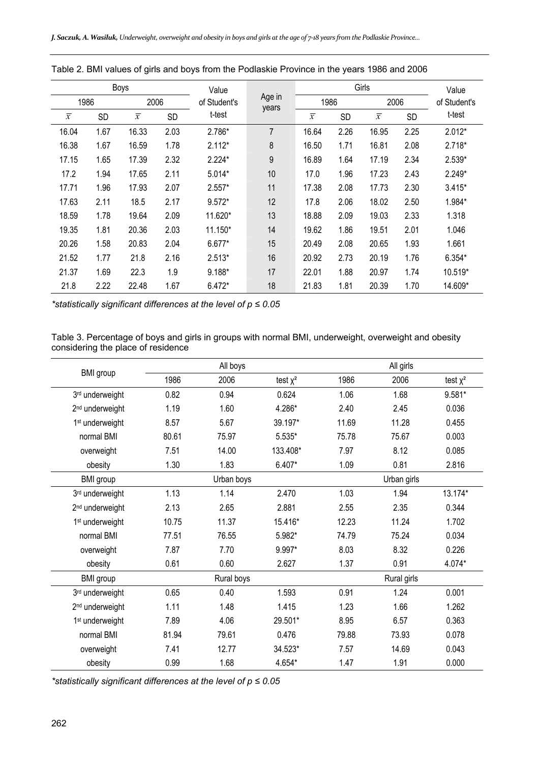| Boys           |      | Value          |           | Girls                           |                |                |           | Value          |      |              |
|----------------|------|----------------|-----------|---------------------------------|----------------|----------------|-----------|----------------|------|--------------|
| 1986           |      | 2006           |           | Age in<br>of Student's<br>years |                | 1986           |           | 2006           |      | of Student's |
| $\overline{x}$ | SD   | $\overline{x}$ | <b>SD</b> | t-test                          |                | $\overline{x}$ | <b>SD</b> | $\overline{x}$ | SD   | t-test       |
| 16.04          | 1.67 | 16.33          | 2.03      | 2.786*                          | $\overline{7}$ | 16.64          | 2.26      | 16.95          | 2.25 | $2.012*$     |
| 16.38          | 1.67 | 16.59          | 1.78      | $2.112*$                        | 8              | 16.50          | 1.71      | 16.81          | 2.08 | $2.718*$     |
| 17.15          | 1.65 | 17.39          | 2.32      | $2.224*$                        | 9              | 16.89          | 1.64      | 17.19          | 2.34 | $2.539*$     |
| 17.2           | 1.94 | 17.65          | 2.11      | 5.014*                          | 10             | 17.0           | 1.96      | 17.23          | 2.43 | $2.249*$     |
| 17.71          | 1.96 | 17.93          | 2.07      | $2.557*$                        | 11             | 17.38          | 2.08      | 17.73          | 2.30 | $3.415*$     |
| 17.63          | 2.11 | 18.5           | 2.17      | 9.572*                          | 12             | 17.8           | 2.06      | 18.02          | 2.50 | 1.984*       |
| 18.59          | 1.78 | 19.64          | 2.09      | 11.620*                         | 13             | 18.88          | 2.09      | 19.03          | 2.33 | 1.318        |
| 19.35          | 1.81 | 20.36          | 2.03      | 11.150*                         | 14             | 19.62          | 1.86      | 19.51          | 2.01 | 1.046        |
| 20.26          | 1.58 | 20.83          | 2.04      | 6.677*                          | 15             | 20.49          | 2.08      | 20.65          | 1.93 | 1.661        |
| 21.52          | 1.77 | 21.8           | 2.16      | $2.513*$                        | 16             | 20.92          | 2.73      | 20.19          | 1.76 | $6.354*$     |
| 21.37          | 1.69 | 22.3           | 1.9       | 9.188*                          | 17             | 22.01          | 1.88      | 20.97          | 1.74 | 10.519*      |
| 21.8           | 2.22 | 22.48          | 1.67      | $6.472*$                        | 18             | 21.83          | 1.81      | 20.39          | 1.70 | 14.609*      |

| Table 2. BMI values of girls and boys from the Podlaskie Province in the years 1986 and 2006 |  |
|----------------------------------------------------------------------------------------------|--|
|----------------------------------------------------------------------------------------------|--|

*\*statistically significant differences at the level of p ≤ 0.05* 

Table 3. Percentage of boys and girls in groups with normal BMI, underweight, overweight and obesity considering the place of residence

|                             | All boys                  |            |               | All girls |             |            |  |
|-----------------------------|---------------------------|------------|---------------|-----------|-------------|------------|--|
| <b>BMI</b> group            | 1986                      | 2006       | test $\chi^2$ | 1986      | 2006        | test $x^2$ |  |
| 3rd underweight             | 0.82                      | 0.94       | 0.624         | 1.06      | 1.68        | 9.581*     |  |
| 2 <sup>nd</sup> underweight | 1.19                      | 1.60       | 4.286*        | 2.40      | 2.45        | 0.036      |  |
| 1 <sup>st</sup> underweight | 8.57                      | 5.67       | 39.197*       | 11.69     | 11.28       | 0.455      |  |
| normal BMI                  | 80.61                     | 75.97      | 5.535*        | 75.78     | 75.67       | 0.003      |  |
| overweight                  | 7.51                      | 14.00      | 133.408*      | 7.97      | 8.12        | 0.085      |  |
| obesity                     | 1.30                      | 1.83       | 6.407*        | 1.09      | 0.81        | 2.816      |  |
| <b>BMI</b> group            | Urban boys<br>Urban girls |            |               |           |             |            |  |
| 3rd underweight             | 1.13                      | 1.14       | 2.470         | 1.03      | 1.94        | 13.174*    |  |
| 2 <sup>nd</sup> underweight | 2.13                      | 2.65       | 2.881         | 2.55      | 2.35        | 0.344      |  |
| 1 <sup>st</sup> underweight | 10.75                     | 11.37      | 15.416*       | 12.23     | 11.24       | 1.702      |  |
| normal BMI                  | 77.51                     | 76.55      | 5.982*        | 74.79     | 75.24       | 0.034      |  |
| overweight                  | 7.87                      | 7.70       | 9.997*        | 8.03      | 8.32        | 0.226      |  |
| obesity                     | 0.61                      | 0.60       | 2.627         | 1.37      | 0.91        | 4.074*     |  |
| <b>BMI</b> group            |                           | Rural boys |               |           | Rural girls |            |  |
| 3rd underweight             | 0.65                      | 0.40       | 1.593         | 0.91      | 1.24        | 0.001      |  |
| 2 <sup>nd</sup> underweight | 1.11                      | 1.48       | 1.415         | 1.23      | 1.66        | 1.262      |  |
| 1 <sup>st</sup> underweight | 7.89                      | 4.06       | 29.501*       | 8.95      | 6.57        | 0.363      |  |
| normal BMI                  | 81.94                     | 79.61      | 0.476         | 79.88     | 73.93       | 0.078      |  |
| overweight                  | 7.41                      | 12.77      | 34.523*       | 7.57      | 14.69       | 0.043      |  |
| obesity                     | 0.99                      | 1.68       | 4.654*        | 1.47      | 1.91        | 0.000      |  |

*\*statistically significant differences at the level of p ≤ 0.05*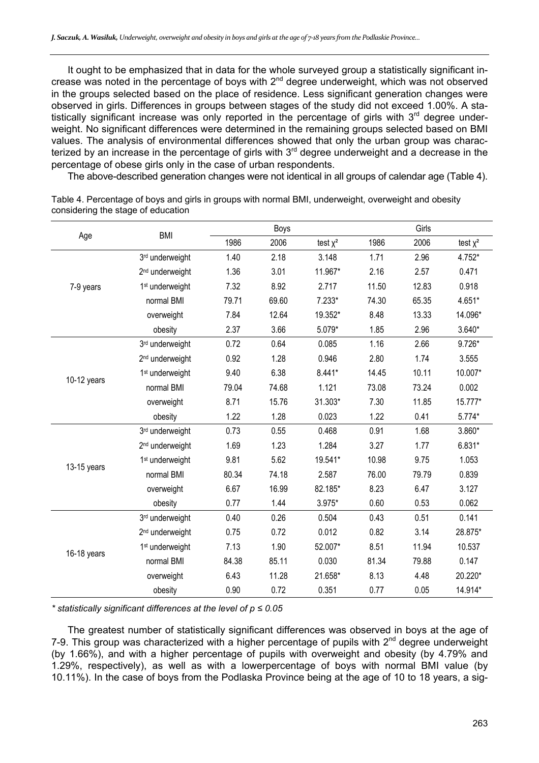It ought to be emphasized that in data for the whole surveyed group a statistically significant increase was noted in the percentage of boys with 2<sup>nd</sup> degree underweight, which was not observed in the groups selected based on the place of residence. Less significant generation changes were observed in girls. Differences in groups between stages of the study did not exceed 1.00%. A statistically significant increase was only reported in the percentage of girls with  $3<sup>rd</sup>$  degree underweight. No significant differences were determined in the remaining groups selected based on BMI values. The analysis of environmental differences showed that only the urban group was characterized by an increase in the percentage of girls with 3<sup>rd</sup> degree underweight and a decrease in the percentage of obese girls only in the case of urban respondents.

The above-described generation changes were not identical in all groups of calendar age (Table 4).

| Age         | <b>BMI</b>                  | Boys  |       |               | Girls |       |            |
|-------------|-----------------------------|-------|-------|---------------|-------|-------|------------|
|             |                             | 1986  | 2006  | test $\chi^2$ | 1986  | 2006  | test $x^2$ |
|             | 3rd underweight             | 1.40  | 2.18  | 3.148         | 1.71  | 2.96  | 4.752*     |
|             | 2 <sup>nd</sup> underweight | 1.36  | 3.01  | 11.967*       | 2.16  | 2.57  | 0.471      |
| 7-9 years   | 1 <sup>st</sup> underweight | 7.32  | 8.92  | 2.717         | 11.50 | 12.83 | 0.918      |
|             | normal BMI                  | 79.71 | 69.60 | $7.233*$      | 74.30 | 65.35 | 4.651*     |
|             | overweight                  | 7.84  | 12.64 | 19.352*       | 8.48  | 13.33 | 14.096*    |
|             | obesity                     | 2.37  | 3.66  | 5.079*        | 1.85  | 2.96  | $3.640*$   |
|             | 3rd underweight             | 0.72  | 0.64  | 0.085         | 1.16  | 2.66  | 9.726*     |
|             | 2 <sup>nd</sup> underweight | 0.92  | 1.28  | 0.946         | 2.80  | 1.74  | 3.555      |
| 10-12 years | 1 <sup>st</sup> underweight | 9.40  | 6.38  | 8.441*        | 14.45 | 10.11 | 10.007*    |
|             | normal BMI                  | 79.04 | 74.68 | 1.121         | 73.08 | 73.24 | 0.002      |
|             | overweight                  | 8.71  | 15.76 | 31.303*       | 7.30  | 11.85 | 15.777*    |
|             | obesity                     | 1.22  | 1.28  | 0.023         | 1.22  | 0.41  | 5.774*     |
|             | 3rd underweight             | 0.73  | 0.55  | 0.468         | 0.91  | 1.68  | 3.860*     |
|             | 2 <sup>nd</sup> underweight | 1.69  | 1.23  | 1.284         | 3.27  | 1.77  | 6.831*     |
| 13-15 years | 1 <sup>st</sup> underweight | 9.81  | 5.62  | 19.541*       | 10.98 | 9.75  | 1.053      |
|             | normal BMI                  | 80.34 | 74.18 | 2.587         | 76.00 | 79.79 | 0.839      |
|             | overweight                  | 6.67  | 16.99 | 82.185*       | 8.23  | 6.47  | 3.127      |
|             | obesity                     | 0.77  | 1.44  | 3.975*        | 0.60  | 0.53  | 0.062      |
| 16-18 years | 3rd underweight             | 0.40  | 0.26  | 0.504         | 0.43  | 0.51  | 0.141      |
|             | 2 <sup>nd</sup> underweight | 0.75  | 0.72  | 0.012         | 0.82  | 3.14  | 28.875*    |
|             | 1 <sup>st</sup> underweight | 7.13  | 1.90  | 52.007*       | 8.51  | 11.94 | 10.537     |
|             | normal BMI                  | 84.38 | 85.11 | 0.030         | 81.34 | 79.88 | 0.147      |
|             | overweight                  | 6.43  | 11.28 | 21.658*       | 8.13  | 4.48  | 20.220*    |
|             | obesity                     | 0.90  | 0.72  | 0.351         | 0.77  | 0.05  | 14.914*    |

Table 4. Percentage of boys and girls in groups with normal BMI, underweight, overweight and obesity considering the stage of education

*\* statistically significant differences at the level of p ≤ 0.05* 

The greatest number of statistically significant differences was observed in boys at the age of 7-9. This group was characterized with a higher percentage of pupils with  $2^{nd}$  degree underweight (by 1.66%), and with a higher percentage of pupils with overweight and obesity (by 4.79% and 1.29%, respectively), as well as with a lowerpercentage of boys with normal BMI value (by 10.11%). In the case of boys from the Podlaska Province being at the age of 10 to 18 years, a sig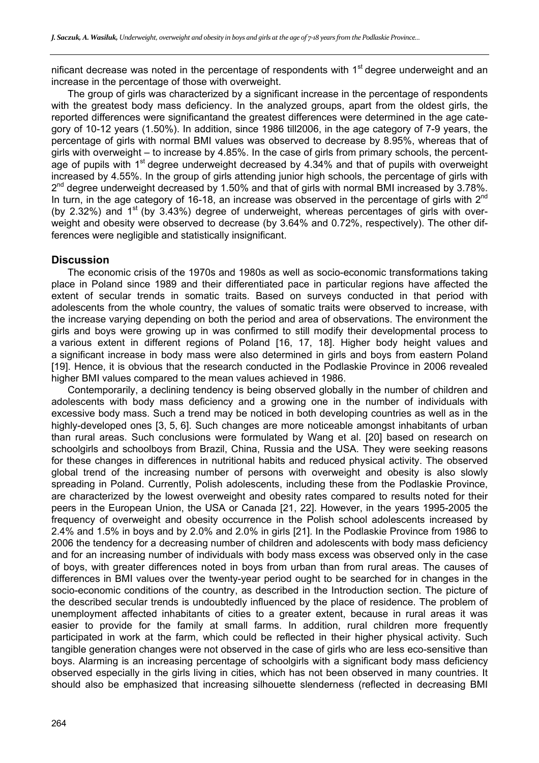nificant decrease was noted in the percentage of respondents with  $1<sup>st</sup>$  degree underweight and an increase in the percentage of those with overweight.

The group of girls was characterized by a significant increase in the percentage of respondents with the greatest body mass deficiency. In the analyzed groups, apart from the oldest girls, the reported differences were significantand the greatest differences were determined in the age category of 10-12 years (1.50%). In addition, since 1986 till2006, in the age category of 7-9 years, the percentage of girls with normal BMI values was observed to decrease by 8.95%, whereas that of girls with overweight – to increase by 4.85%. In the case of girls from primary schools, the percentage of pupils with 1<sup>st</sup> degree underweight decreased by 4.34% and that of pupils with overweight increased by 4.55%. In the group of girls attending junior high schools, the percentage of girls with 2<sup>nd</sup> degree underweight decreased by 1.50% and that of girls with normal BMI increased by 3.78%. In turn, in the age category of 16-18, an increase was observed in the percentage of girls with 2<sup>nd</sup> (by 2.32%) and  $1<sup>st</sup>$  (by 3.43%) degree of underweight, whereas percentages of girls with overweight and obesity were observed to decrease (by 3.64% and 0.72%, respectively). The other differences were negligible and statistically insignificant.

# **Discussion**

The economic crisis of the 1970s and 1980s as well as socio-economic transformations taking place in Poland since 1989 and their differentiated pace in particular regions have affected the extent of secular trends in somatic traits. Based on surveys conducted in that period with adolescents from the whole country, the values of somatic traits were observed to increase, with the increase varying depending on both the period and area of observations. The environment the girls and boys were growing up in was confirmed to still modify their developmental process to a various extent in different regions of Poland [16, 17, 18]. Higher body height values and a significant increase in body mass were also determined in girls and boys from eastern Poland [19]. Hence, it is obvious that the research conducted in the Podlaskie Province in 2006 revealed higher BMI values compared to the mean values achieved in 1986.

Contemporarily, a declining tendency is being observed globally in the number of children and adolescents with body mass deficiency and a growing one in the number of individuals with excessive body mass. Such a trend may be noticed in both developing countries as well as in the highly-developed ones [3, 5, 6]. Such changes are more noticeable amongst inhabitants of urban than rural areas. Such conclusions were formulated by Wang et al. [20] based on research on schoolgirls and schoolboys from Brazil, China, Russia and the USA. They were seeking reasons for these changes in differences in nutritional habits and reduced physical activity. The observed global trend of the increasing number of persons with overweight and obesity is also slowly spreading in Poland. Currently, Polish adolescents, including these from the Podlaskie Province, are characterized by the lowest overweight and obesity rates compared to results noted for their peers in the European Union, the USA or Canada [21, 22]. However, in the years 1995-2005 the frequency of overweight and obesity occurrence in the Polish school adolescents increased by 2.4% and 1.5% in boys and by 2.0% and 2.0% in girls [21]. In the Podlaskie Province from 1986 to 2006 the tendency for a decreasing number of children and adolescents with body mass deficiency and for an increasing number of individuals with body mass excess was observed only in the case of boys, with greater differences noted in boys from urban than from rural areas. The causes of differences in BMI values over the twenty-year period ought to be searched for in changes in the socio-economic conditions of the country, as described in the Introduction section. The picture of the described secular trends is undoubtedly influenced by the place of residence. The problem of unemployment affected inhabitants of cities to a greater extent, because in rural areas it was easier to provide for the family at small farms. In addition, rural children more frequently participated in work at the farm, which could be reflected in their higher physical activity. Such tangible generation changes were not observed in the case of girls who are less eco-sensitive than boys. Alarming is an increasing percentage of schoolgirls with a significant body mass deficiency observed especially in the girls living in cities, which has not been observed in many countries. It should also be emphasized that increasing silhouette slenderness (reflected in decreasing BMI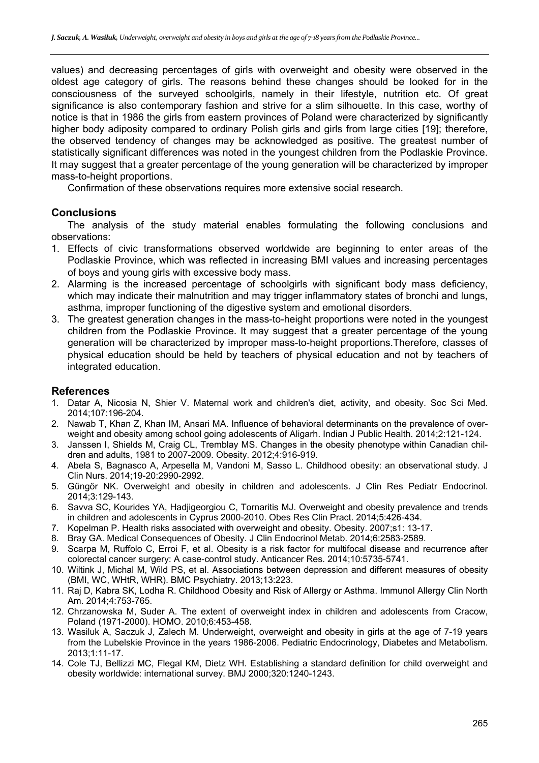values) and decreasing percentages of girls with overweight and obesity were observed in the oldest age category of girls. The reasons behind these changes should be looked for in the consciousness of the surveyed schoolgirls, namely in their lifestyle, nutrition etc. Of great significance is also contemporary fashion and strive for a slim silhouette. In this case, worthy of notice is that in 1986 the girls from eastern provinces of Poland were characterized by significantly higher body adiposity compared to ordinary Polish girls and girls from large cities [19]; therefore, the observed tendency of changes may be acknowledged as positive. The greatest number of statistically significant differences was noted in the youngest children from the Podlaskie Province. It may suggest that a greater percentage of the young generation will be characterized by improper mass-to-height proportions.

Confirmation of these observations requires more extensive social research.

# **Conclusions**

The analysis of the study material enables formulating the following conclusions and observations:

- 1. Effects of civic transformations observed worldwide are beginning to enter areas of the Podlaskie Province, which was reflected in increasing BMI values and increasing percentages of boys and young girls with excessive body mass.
- 2. Alarming is the increased percentage of schoolgirls with significant body mass deficiency, which may indicate their malnutrition and may trigger inflammatory states of bronchi and lungs, asthma, improper functioning of the digestive system and emotional disorders.
- 3. The greatest generation changes in the mass-to-height proportions were noted in the youngest children from the Podlaskie Province. It may suggest that a greater percentage of the young generation will be characterized by improper mass-to-height proportions.Therefore, classes of physical education should be held by teachers of physical education and not by teachers of integrated education.

# **References**

- 1. Datar A, Nicosia N, Shier V. Maternal work and children's diet, activity, and obesity. Soc Sci Med. 2014;107:196-204.
- 2. Nawab T, Khan Z, Khan IM, Ansari MA. Influence of behavioral determinants on the prevalence of overweight and obesity among school going adolescents of Aligarh. Indian J Public Health. 2014;2:121-124.
- 3. Janssen I, Shields M, Craig CL, Tremblay MS. Changes in the obesity phenotype within Canadian children and adults, 1981 to 2007-2009. Obesity. 2012;4:916-919.
- 4. Abela S, Bagnasco A, Arpesella M, Vandoni M, Sasso L. Childhood obesity: an observational study. J Clin Nurs. 2014;19-20:2990-2992.
- 5. Güngör NK. Overweight and obesity in children and adolescents. J Clin Res Pediatr Endocrinol. 2014;3:129-143.
- 6. Savva SC, Kourides YA, Hadjigeorgiou C, Tornaritis MJ. Overweight and obesity prevalence and trends in children and adolescents in Cyprus 2000-2010. Obes Res Clin Pract. 2014;5:426-434.
- 7. Kopelman P. Health risks associated with overweight and obesity. Obesity. 2007;s1: 13-17.
- 8. Bray GA. Medical Consequences of Obesity. J Clin Endocrinol Metab. 2014;6:2583-2589.
- 9. Scarpa M, Ruffolo C, Erroi F, et al. Obesity is a risk factor for multifocal disease and recurrence after colorectal cancer surgery: A case-control study. Anticancer Res. 2014;10:5735-5741.
- 10. Wiltink J, Michal M, Wild PS, et al. Associations between depression and different measures of obesity (BMI, WC, WHtR, WHR). BMC Psychiatry. 2013;13:223.
- 11. Raj D, Kabra SK, Lodha R. Childhood Obesity and Risk of Allergy or Asthma. Immunol Allergy Clin North Am. 2014;4:753-765.
- 12. Chrzanowska M, Suder A. The extent of overweight index in children and adolescents from Cracow, Poland (1971-2000). HOMO. 2010;6:453-458.
- 13. Wasiluk A, Saczuk J, Zalech M. Underweight, overweight and obesity in girls at the age of 7-19 years from the Lubelskie Province in the years 1986-2006. Pediatric Endocrinology, Diabetes and Metabolism. 2013;1:11-17.
- 14. Cole TJ, Bellizzi MC, Flegal KM, Dietz WH. Establishing a standard definition for child overweight and obesity worldwide: international survey. BMJ 2000;320:1240-1243.